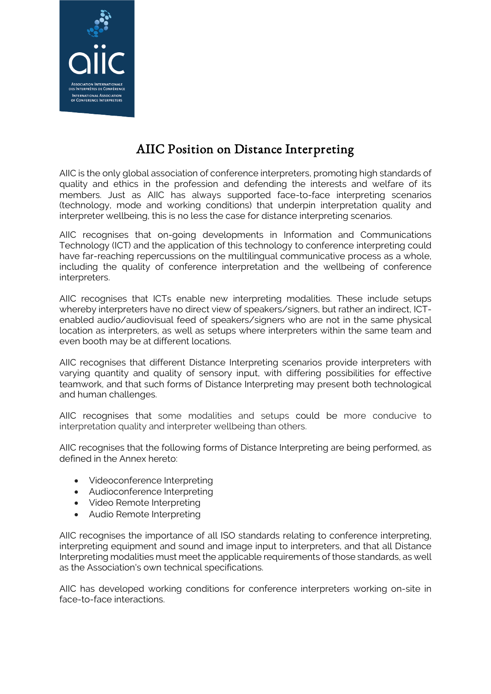

# AIIC Position on Distance Interpreting

AIIC is the only global association of conference interpreters, promoting high standards of quality and ethics in the profession and defending the interests and welfare of its members. Just as AIIC has always supported face-to-face interpreting scenarios (technology, mode and working conditions) that underpin interpretation quality and interpreter wellbeing, this is no less the case for distance interpreting scenarios.

AIIC recognises that on-going developments in Information and Communications Technology (ICT) and the application of this technology to conference interpreting could have far-reaching repercussions on the multilingual communicative process as a whole, including the quality of conference interpretation and the wellbeing of conference interpreters.

AIIC recognises that ICTs enable new interpreting modalities. These include setups whereby interpreters have no direct view of speakers/signers, but rather an indirect, ICTenabled audio/audiovisual feed of speakers/signers who are not in the same physical location as interpreters, as well as setups where interpreters within the same team and even booth may be at different locations.

AIIC recognises that different Distance Interpreting scenarios provide interpreters with varying quantity and quality of sensory input, with differing possibilities for effective teamwork, and that such forms of Distance Interpreting may present both technological and human challenges.

AIIC recognises that some modalities and setups could be more conducive to interpretation quality and interpreter wellbeing than others.

AIIC recognises that the following forms of Distance Interpreting are being performed, as defined in the Annex hereto:

- Videoconference Interpreting
- Audioconference Interpreting
- Video Remote Interpreting
- Audio Remote Interpreting

AIIC recognises the importance of all ISO standards relating to conference interpreting, interpreting equipment and sound and image input to interpreters, and that all Distance Interpreting modalities must meet the applicable requirements of those standards, as well as the Association's own technical specifications.

AIIC has developed working conditions for conference interpreters working on-site in face-to-face interactions.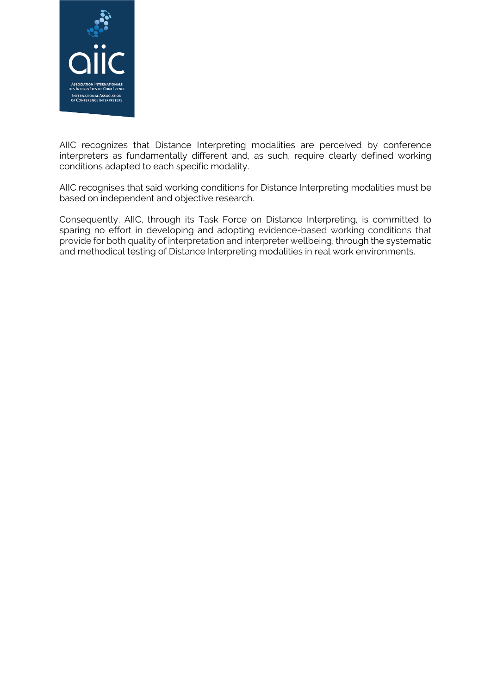

AIIC recognizes that Distance Interpreting modalities are perceived by conference interpreters as fundamentally different and, as such, require clearly defined working conditions adapted to each specific modality.

AIIC recognises that said working conditions for Distance Interpreting modalities must be based on independent and objective research.

Consequently, AIIC, through its Task Force on Distance Interpreting, is committed to sparing no effort in developing and adopting evidence-based working conditions that provide for both quality of interpretation and interpreter wellbeing, through the systematic and methodical testing of Distance Interpreting modalities in real work environments.